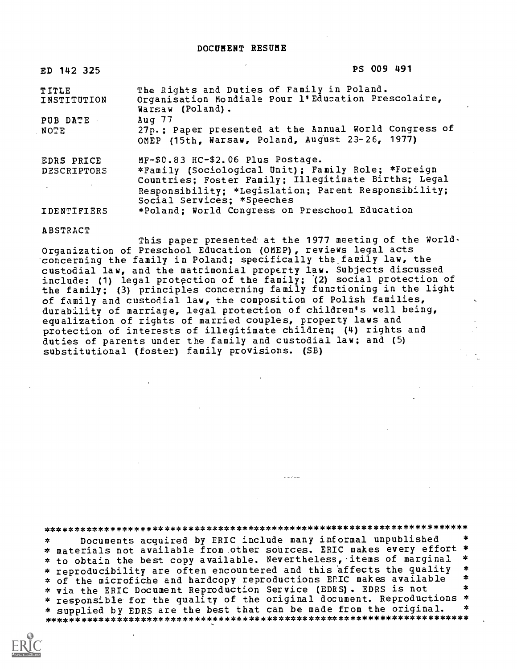| ED 142 325                       | PS 009 491                                                                                                                                                                                                                            |
|----------------------------------|---------------------------------------------------------------------------------------------------------------------------------------------------------------------------------------------------------------------------------------|
| TITLE<br>INSTITUTION             | The Rights and Duties of Family in Poland.<br>Organisation Mondiale Pour l'Education Prescolaire,<br>Warsaw (Poland).                                                                                                                 |
| PUB DATE<br><b>NOTE</b>          | Aug 77<br>27p.; Paper presented at the Annual World Congress of<br>OMEP (15th, Warsaw, Poland, August 23-26, 1977)                                                                                                                    |
| EDRS PRICE<br><b>DESCRIPTORS</b> | MF-\$C.83 HC-\$2.06 Plus Postage.<br>*Family (Sociological Unit); Family Role; *Foreign<br>Countries; Foster Family; Illegitimate Births; Legal<br>Responsibility; *Legislation; Parent Responsibility;<br>Social Services; *Speeches |
| <b>IDENTIFIERS</b>               | *Poland; World Congress on Preschool Education                                                                                                                                                                                        |

#### ABSTRACT

This paper presented at the 1977 meeting of the World-Organization of Preschool Education (OMEP), reviews legal acts concerning the family in Poland; specifically the family law, the custodial law, and the matrimonial property law. Subjects discussed include: (1) legal protection of the family; (2) social protection of the family; (3) principles concerning family functioning in the light of family and custodial law, the composition of Polish families, durability of marriage, legal protection of children's well being, equalization of rights of married couples, property laws and protection of interests of illegitimate children; (4) rights and duties of parents under the family and custodial law; and (5) substitutional (foster) family provisions. (SB)

### \*\*\*\*\*\*\*\*\*\*\*\*\*\*\*\*\*\*\*\*\*\*\*\*\*\*\*\*\*\*\*\*\*\*\*\*\*\*\*\*\*\*\*\*\*\*\*\*\*\*\*\*\*\*\*\*\*\*\*\*\*\*\*\*\*\*\*\*\*\*\*

Documents acquired by ERIC include many informal unpublished  $\star$ \* materials not available from.other sources. ERIC makes every effort \* \* to obtain the best copy available. Nevertheless, items of marginal \*<br>\* x x x x 3x xibility and often encountered and this affects the quality \* \* reproducibility are often encountered and this affects the quality \* \* of the microfiche and hardcopy reproductions EPIC makes available \* \* \* via the ERIC Document Reproduction Service (EDRS) . EDRS is not \* responsible for the quality of the original document. Reproductions \*<br>\* supplied by EDRS are the best that can be made from the original. \* \* supplied by EDRS are the best that can be made from the original. \*\*\*\*\*\*\*\*\*\*\*\*\*\*\*\*\*\*\*\*\*\*\*\*\*\*\*\*\*\*\*\*\*\*\*\*\*\*\*\*\*\*\*\*\*\*\*\*\*\*\*\*\*\*\*\*\*\*\*\*\*\*\*\*\*\*\*\*\*\*\*

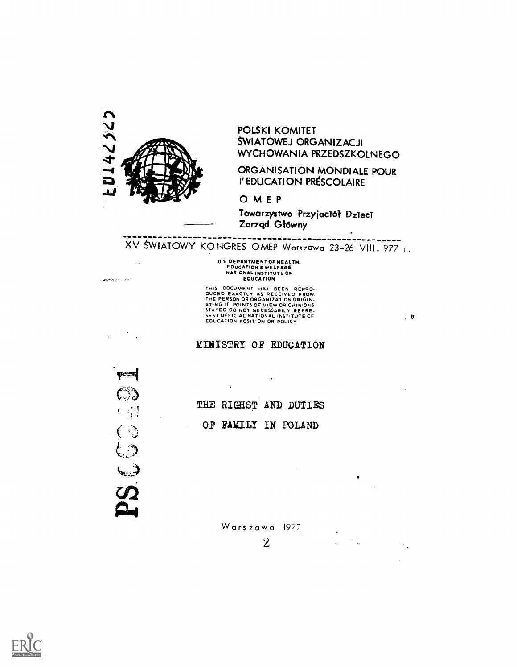

POLSKI KOMITET SWIATOWEJ ORGANIZACJI WYCHOWANIA PRZEDSZKOLNEGO

### ORGANISATION MONDIALE POUR I' EDUCATION PRESCOLAIRE

 $\mathbf{r}$ 

OMEP

Towarzystwa Przyjaclól Dzieci Zarzqd Gl6wny

------------------------------------XV SWIATOWY KONGRES OMEP Warszawa 23-26 VIII.1977 r.

## U S DEPARTMENT OF HEALTH.<br>EDUCATION & WELFARE<br>NATIONAL INSTITUTE OF EDUCATION

THIS OOCUMENT HAS BEEN REPRO-<br>DUCED EXACTLY AS RECEIVED FROM<br>THE PERSON OR ORGANIZATION ORIGIN.<br>ATING IT POINTS OF VIEW OR OPINIONS<br>SENTOFFICIAL NATIONAL INSTITUTE OF<br>SENTOFFICIAL NATIONAL INSTITUTE OF<br>EOUCATION POSITION O

MINISTRY OF EDUCATION

 $\ddot{\phantom{0}}$ 



THE RIGHST AND DUTIES OF FAMILY IN POLAND

Warszawa 1977

 $\mathbf{z}$ 

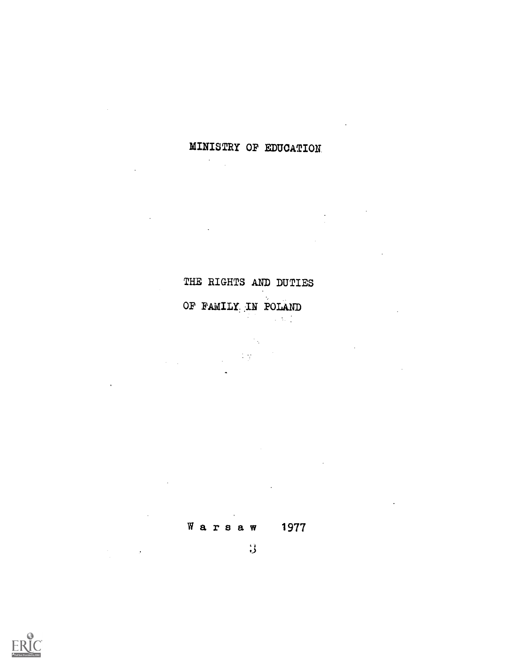# MINISTRY OF EDUCATION

 $\sim$ 

# THE RIGHTS AND DUTIES

 $\mathcal{L}$ 

## OF PAMILy.IN POLAND  $\sim 10^{11}$

 $\sim 10^4$ 

 $\tilde{\mathcal{A}}$ 

Warsaw <sup>1977</sup>

 $\overline{\mathbf{3}}$ 

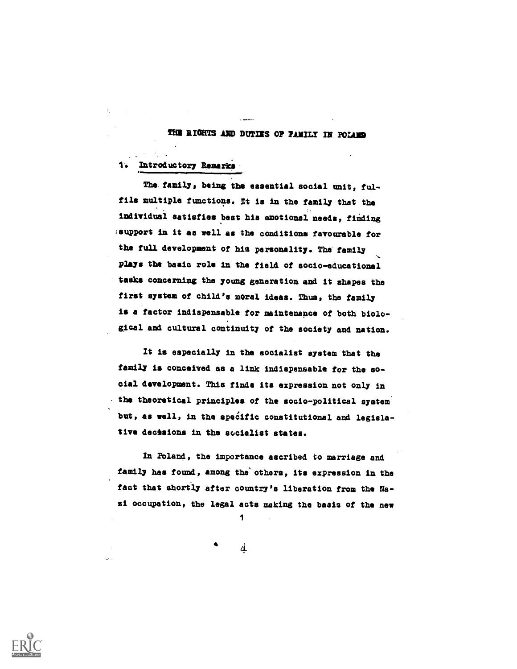#### THE RIGHTS AND DUTIES OF FAMILY IN POLAND

1: Introductory Remark's

Tha family, being the essential social unit, fulfils multiple functioss. Mt is in the family that the individual satisfies best his emotional needs, finding isupport in it as well as the conditions favourable for the full development of his personality. The family plays the basic role in the field of socio-educational tasks concerning the young generation and it shapes the first system of child's moral ideas. Thus, the family is a factor indispensable for maintenance of both biological and cultural continuity of the society and nation.

It is especially in the socialist system that the family is conceived as a link indispensable for the so cial development. This finds its expression not only in the theoretical principles of the socio-political system' but, as well, in the specific constitutional and legislative decisions in the socialist states.

In Boland, the importance ascribed to marriage and .family has found, Among the'others, its expression in the fact that shortly after country's liberation from the Nasi occupation, the legal acts making the basis of the new

4

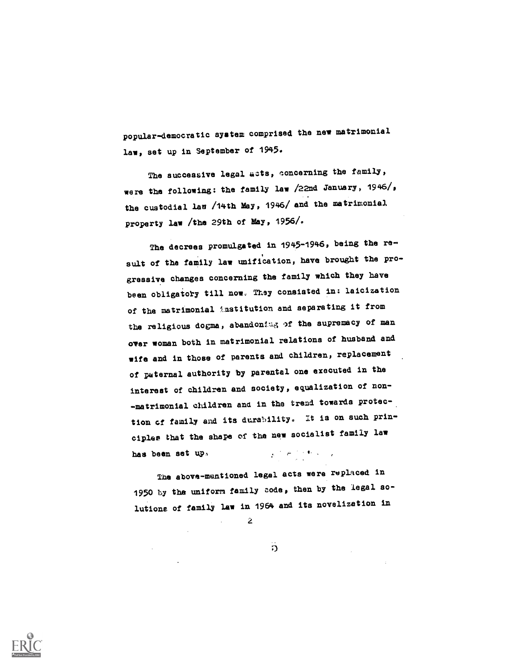popular-democratic system comprised the new matrimonial law, set up in September of 1945.

The successive legal acts, concerning the family, were the following: the family law /22nd January, 1946/, the custodial law /14th May, 1946/ and the matrimonial property law /the 29th of May,  $1956/$ .

The decrees promulgated in 1945-1946, being the result of the family law unification, have brought the progressive changes concerning the family which they have been obligatory till now. They consisted in: laicization of the matrimonial institution and separating it from the religious dogma, abandoning of the supremacy of man over woman both in matrimonial relations of husband and wife and in those of parents and children, replacement of paternal authority by parental one executed in the interest of children and society, equalization of non- -matrimonial children and in the trend towards protection of family and its durability. It is on such principles that the shape of the new socialist family law  $\label{eq:2} \frac{1}{2}\sum_{i=1}^n\left(\frac{1}{\sigma_i}\sum_{i=1}^n\sum_{j=1}^n\sum_{j=1}^n\sum_{j=1}^n\sum_{j=1}^n\sum_{j=1}^n\sum_{j=1}^n\sum_{j=1}^n\sum_{j=1}^n\sum_{j=1}^n\sum_{j=1}^n\sum_{j=1}^n\sum_{j=1}^n\sum_{j=1}^n\sum_{j=1}^n\sum_{j=1}^n\sum_{j=1}^n\sum_{j=1}^n\sum_{j=1}^n\sum_{j=1}^n\sum_{j=1}^$ has been set up.

The above-mentioned legal acts were replaced in 1950 by the uniform family code, then by the legal solutions of family law in 1964 and its novelization in

 $\Omega$ 

a

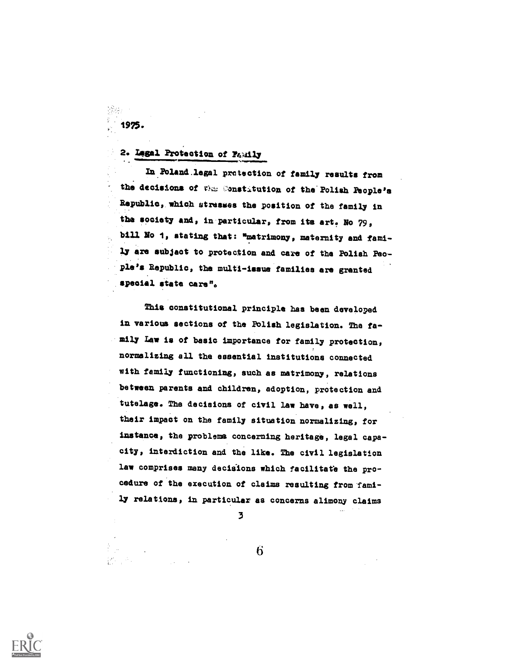## 2. Lagal Protection of Family

1975.

ln.Poland.legal protection of family results from the decisions of the Constitution of the Polish People's Republic, which strasaes the position of the family in the society and, in particular, from its art. No  $79<sub>9</sub>$ bill No 1, stating that: "matrimony, maternity and fami-1.7 are subject to protection and care of the Polish People's Republic, the multi-issue families are granted special state care".

This constitutional principle has been developed in various sections of the Polish legislation. The fa-.mily Law is of basic importance for family protection, normalizing all the essential institutions connected with family functioning, such as matrimony, relations between parents and children, adoption, protection and tutelage. The decisions of civil law have, as well, their impact on the family situation normalizing, for instance, the problems concerning heritage, legal capacity, interdiction and the like. The civil legislation law comprises many decisions which facilitate the procedure of the execution of claims resulting from family relations, in particular as concerns alimony claims

3

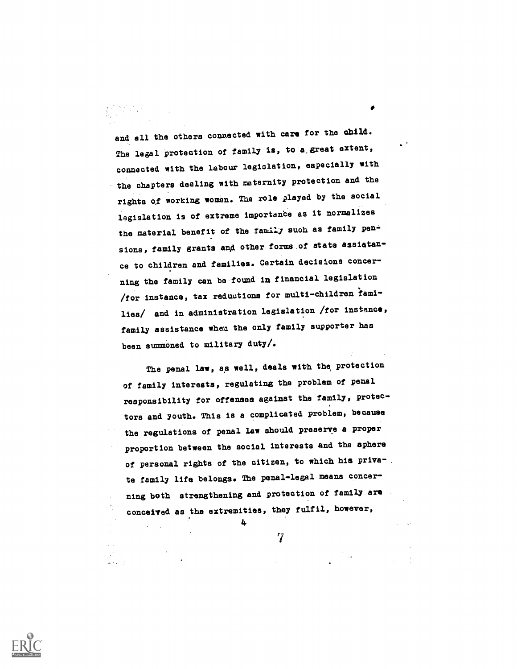and all the others congected with care for the child. The legal protection of family is, to a great extent, connected with the labour legislation, especially with the chapters dealing with maternity protection and the rights df working women. The role played by the social legislation is of extreme importance as it normalizes the material benefit of the family such as family  $pen \rightarrow$ sions, family grants and other forms of state assiatance to children and families. Certain decisions concerning the family can be-found in financial legislation /for instance, tax reduutions for multi-dhildren iamilies/ and in administration legislation /for instance, family assistance when the only family supporter has been summoned to military duty/.

The penal law, as well, deals with the protection of family interests, regulating the problem of penal responsibility for offenses against the family, Protectors and youth. This is a complicated problem, because the regulations of penal law should preserve a proper proportion between the social interests and the sphere of personal rights of the citizen, to which his priva'. te family life belongs. The penal-legal means concerning both strengthening and protection of family are conceived as the extremities, they fulfil, however,

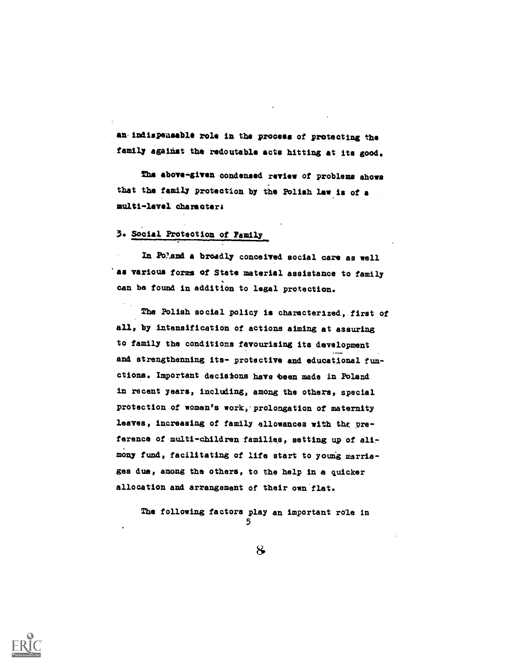an indispeasable role in the process of protecting the family against the redoutable acts hitting at its good.

The above-given condensed review of problems shows that the family protection by the Polish law is of a multi-level Character&

### 3. SOcial Protection of Family,

In Poland a broadly conceived social care as well as various forms of State material assistance to family can be found in addition to legal protection.

Tha Polish social policy is characterized, first of all, by intensification of actiona aiming at assuring to family the conditions favourising its development and strengthenning its- protective and educational functions. Important decisions have been made in Poland in recent years, including, among the others, special protection of women's work, prolongation of maternity leaves, increasing of family allowances with the preference of multi-children families, setting up of alimony fund, facilitating of life start to young marriagee due, among the others, to the help in a quicker allocation and arrangement of their own flat.

The following factors play an important role in 5

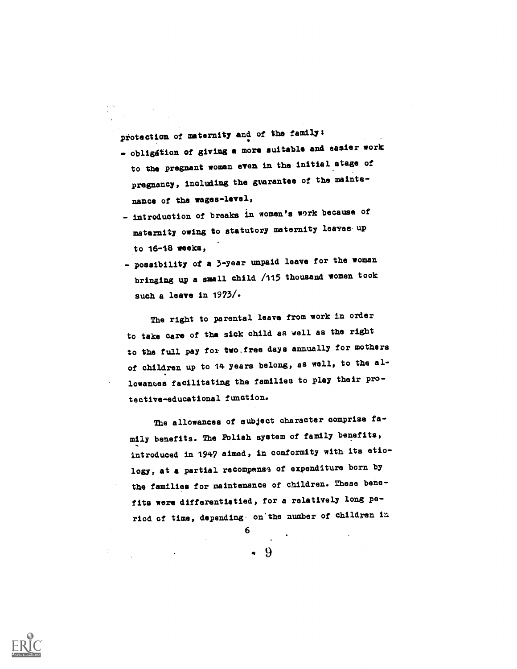protection of maternity and of the family:

- obligation of giving a more suitable and easier work to the pregnant woman even in the initial stage of pregnancy, including the guarantee of the maintenance of the wages-level,
- introduction of breaks in women's work because of maternity owing to atatutory maternity leaves- up to 16-18 weeks,
- possibility of a 3-year unpaid leave for the woman bringing up a small child /115 thousand women took such a leave in 1973/.

The right to parental leave from work in order to take care of tha sick child as well as the right to the full pay for two.free days annually for mothers of children up to 14 years belong, as well, to the allowances facilitating the families to play their protective-educational function.

The allowances of subject character comprise family benefits. The Polish system of family benefits, introduced in 1947 aimed, in conformity with its etiology, at a partial recompense of expenditure born by the families for maintenance of children. These benefits were differentiatied, for a relatively long period of time, depending on'the number of Children La

 $.9$ 

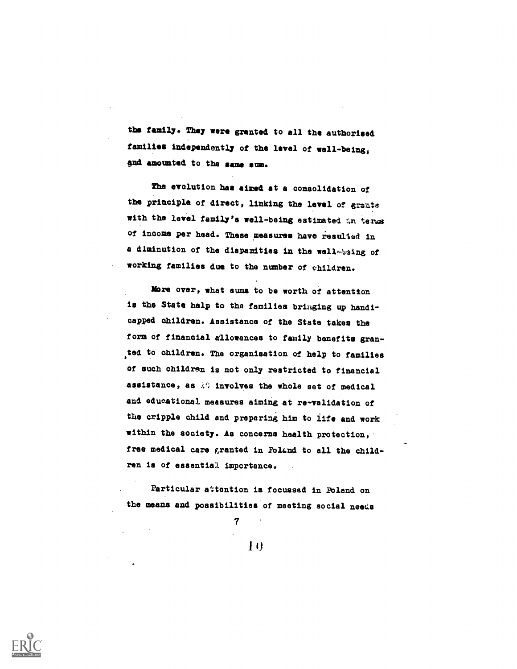the family. They were granted to all the authorised families independently of the level of yell-being, gnd amounted to tha same sum.

The evolution has aimed at a consolidation of the principle of direct, linking the level of grants with the level family's well-being estimated in terms of income per head. These measures have resulted in a diminution of the disparities in the well-baing of working families due to the number of yhildren.

Mbre over, what sums to be worth of attention is the State help to the families bringing up handicapped dhildren. Assistance of the State takes the form of financial allowances to family benefits granted to dhildren. Tha organisation of help to families of such childran is not only restricted to financial assistance, as  $\Diamond$  involves the whole set of medical and educational measures aiming at re-validation of the cripple child and preparing him to life and work within the society. As concerns health protection, free medical care granted in Poland to all the children is of essential importance.

Particular attention is focussed in Poland on the means and possibilities of meeting social needs

 $\mathbf{D}$ 

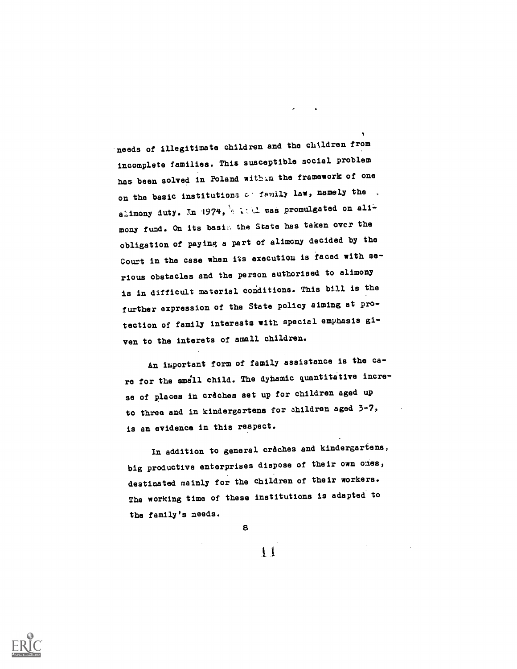'needs of illegitimate children and the chtldren from incomplete families. This susceptible social problem has been solved in Poland within the framework of one on the basic institutiona or family law, namely the . alimony duty. In 1974,  $4 \times 10^{-4}$  and promulgated on alimony fund. On its basis the State has taken over the obligation of paying a part of alimony decided by the Court in the case when its execution is faced with serious obstacles and the person authorised to alimony is in difficult material conditions. This bill is the further expression of the State policy aiming at protection of family interests with special emphasis given to the interets of small children.

An important form of family assistance is the care for the smill child. The dynamic quantitative increse of places in crèches set up for children aged up to three and in kindergartens for children aged 3-7, is an evidence in this respect.

In addition to general crêchee and kindergartens, big productive enterprises dispose of their own ones, destinated mainly for the children of their workers. The working time of these institutions is adapted to the family's needs.

 $11$ 

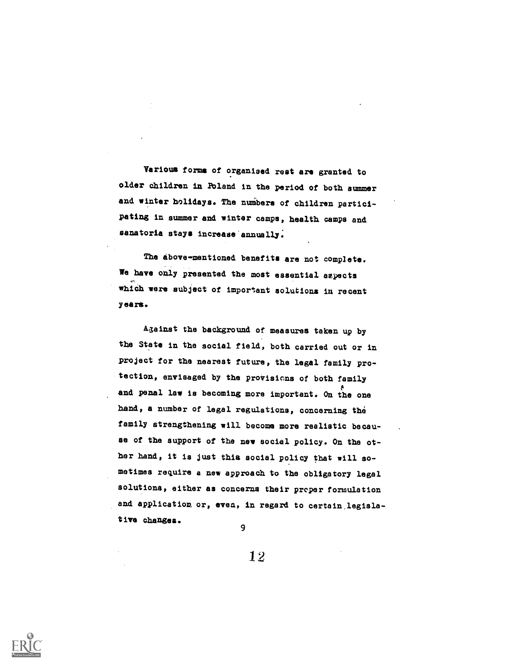Various forms of organised rest are granted to older dhildren in POland in the period of both summer and winter holidays. The numbers of children participating in summer and winter camps, health camps and sanatoria stays increase annually.

The above-mentioned benefits are not complete. We have only presented the most essential aspects whiCh were subject of important solutions in recent years.

A3ainst the background of measures taken up by the State in the social field, both carried out or in project for the nearest future, the legal family protection, envisaged by the provisions of both family and penal law is becoming more important. On the one hand, a number of legal regulations, concerning the family strengthening will become more realistic because of the support of the new social policy. On the other band, it is just this social policy that will so metimes require a new approaCh to the obligatory legal solutions, either as concerms their proper formulation and application or, even, in regard to certain,legislative changes.

12

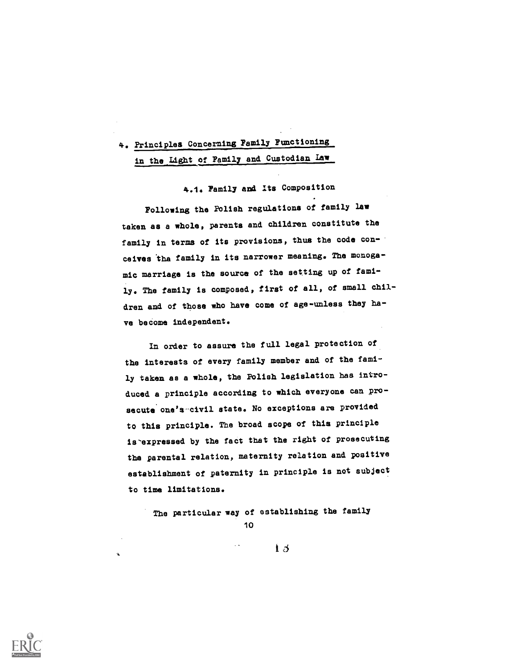# 4. Principles Concerning Pamily Functioning in the Light of Family and Custodian Law

4.1. Family and Its Composition

Following the POlish regulations of family law taken as a whole, parents and children constitute the family in terms of its provisions, thus the code conceives 'the family in its narrower meaning. The monogamic marriage is the source of the setting up of family. The family is composed, first of all, of small children and of those who have come of age-unless they have become independent.

In order to assure the full legal protection of tba interests of every family member and of the family taken as a whole, the Polish legislation has introduced a principle according to which everyone can prosecute one's-civil state. No exceptions are provided to this principle. The broad scope of this principle is-expressed by the fact that the right of prosecuting the parental relation, maternity relation and positive establishment of paternity in principle is not subject to tine limitations.

The particular way of establishing the family 10

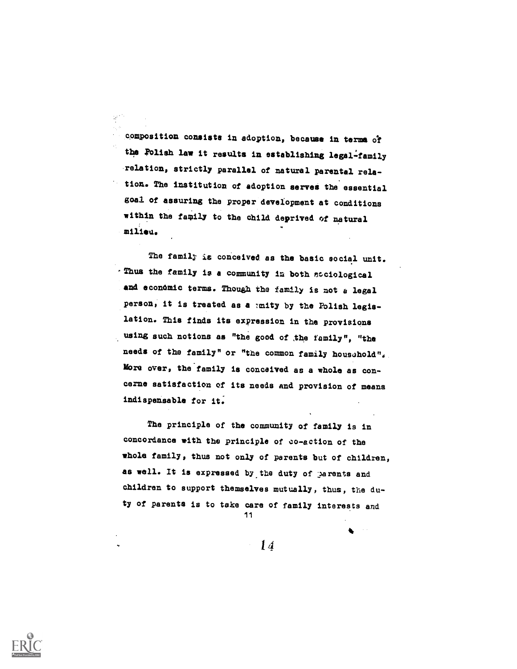composition consists in adoption, because in terms of the Polish law it results in establishing legal-family 'relation, strictly parallel of natural parental relation. The institution of adoption serves the essential goal of assuring the proper development at conditions within the family to the child deprived of natural milieu.

The family is conceived as the basic social unit. - Thus the family is a community in both sociological and economic terms. Though the family is not a legal person, it is treated as a mity by the Polish legislation. This finds its expression in the provisions using such notions as "the good of the family", "the needs of the family" or "the common family household". More over, the family is conceived as a whole as concerne satisfaction of its needs and provision of means indispensable for it.

The principle of the community of family is in concordance with the principle of co-action of the whole family, thus not only of parents but of children, as well. It is expressed by.the duty of )arents and children to support themselves mutually, thus, the duty of parents is to take care of family interests and 11

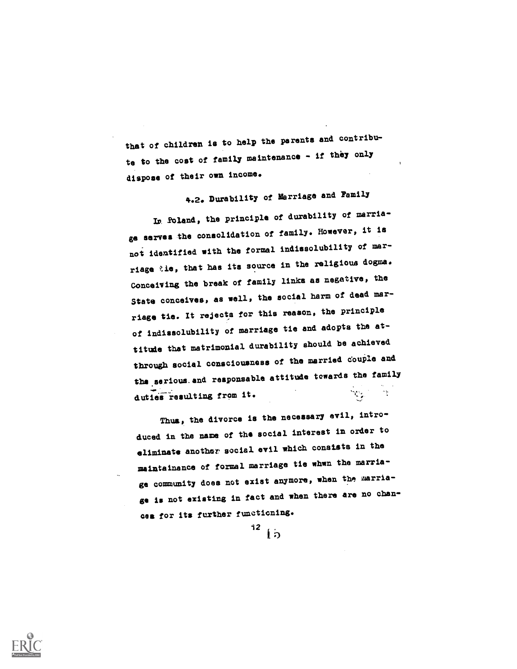that of children is to help the parents and contribute to the cost of family maintenance - if they only dispose of their own income.

4.2. Durability of Marriage and Family In Poland, the principle of durability of marriage serves the consolidation of family. However, it is not identified with the formal indissolubility of marriage tie, that has its source in the religious dogma. Conceiving the break of family links as negative, the State conceives, as well, the social harm of dead marriage tie. It rejects for this reason, the principle of indissolubility of marriage tie and adopts the attitude that matrimonial durability should be achieved through social consciousness of the married couple and the serious and responsable attitude towards the family duties resulting from it.  $\mathcal{N}_{\mathcal{F}}$ 

Thus, the divorce is the necessary evil, introduced in the name of the social interest in order to eliminate another social evil which consists in the maintainance of formal marriage tie whwn the marriage community does not exist anymore, when the marriage is not existing in fact and when there are no chances for its further functioning.



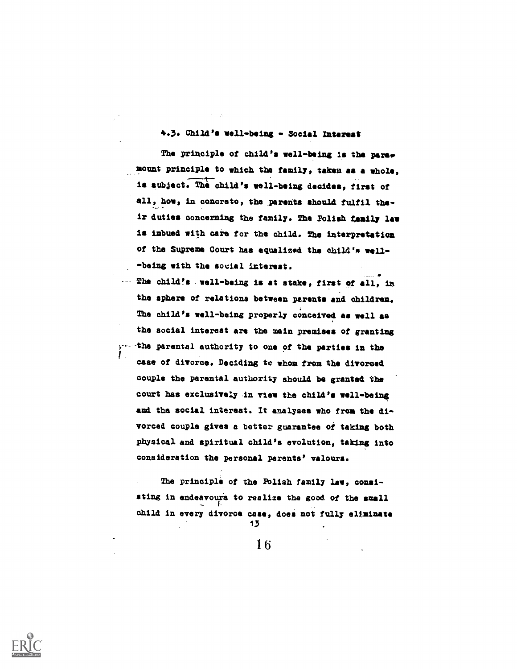#### 4.3. Child's well-being - Social Interest

The principle of child's well-being is the paramount principle to which the family, taken as a whole, is subject. The child's well-being decides, first of all, how, in concreto, the parents should fulfil their duties concerning the family. The Polish family law is imbued with care for the child. The interpretation of the Supreme Court has equalized the child's well- -being with the social interest.

The child's . well -being is at stake, first of all, in the sphere of relations between parents and children. The child's well-being properly conceived as well se the social interest are the main premises of granting -the parental authority to one of the parties in the case of divorce. Deciding to whom from the divorced couple the parental authority should be granted the court has exclusively in view the child's well-being and tha social interest. It analyses who from the divorced couple gives a better guarantee oi taking both Physical and apiritual child's evolution, taking into consideration the personal parents' velours.

The principle of the Polish family law, consisting in endeavours to realize the good of the small child in every divorce case, does not fully eliminate

13

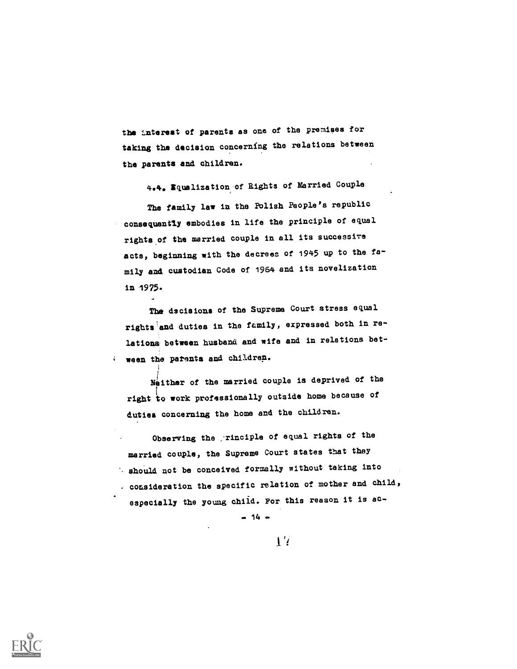the Interest of parents as one of the premises for taking the decision concerning the relations between the parents and children.

4.4e Equalization:of Rights of Married Couple

The family law in the Polish People's republic consequently embodies in life the principle of equal rights of the married couple in all its successive acts, beginning with the decrees of 1945 up to the family and custodian Code of 1964 and its novelization in 1975.

The dscisions of the Supreme Court stress equal rights and duties in the family, expressed both in relations between husband and wife and in relations between the patents and children.

Neither of the married couple is deprived of the right to work professionally outside home because of duties concerning the home and the children.

i

Observing the , rinciple of equal rights of the married couple, the Supreme Court states that they shou2d aot be conceived formally without taking into consideration the specific relation of mother and child, especially the young chiid. For this reason it is ac-

 $- 14 -$ 



 $\mathbf{1}^{\prime}$ 

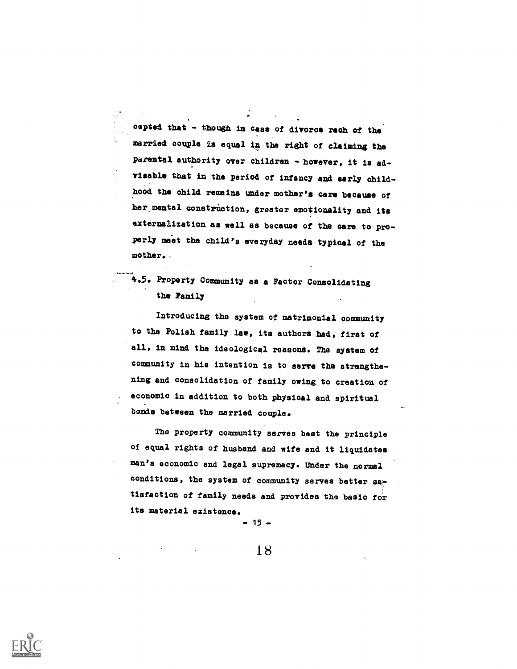cepted that - though in case of divorce rach of the married couple is equal in the right of claiming the parental authority over Children - however, it is advisable that in the period of infancy and early childhood the Child remains under mother's care because of her mental construction, greater emotionality and its externalization as well as because of the care to properly meet the child's everyday needs typical of the mother.

., °.

## 4.5. Property Community as a Factor Consolidating the Family

Introducing the system of matrimonial community to the Polish family law, its authors had, first of all, in mind the ideological reasont. The system of community in his intention is to serve the strengthening and consolidation of family owing to creation of economic in addition to both physical and spiritual bonds between the married couple.

The property community serves best the principle of equal rights of husband and wife and it liquidates man's economic and legal supremacy. Under the normal conditions, the system of community serves better satisfaction of family needs and provides the basic for its material existence.

 $15 -$ 



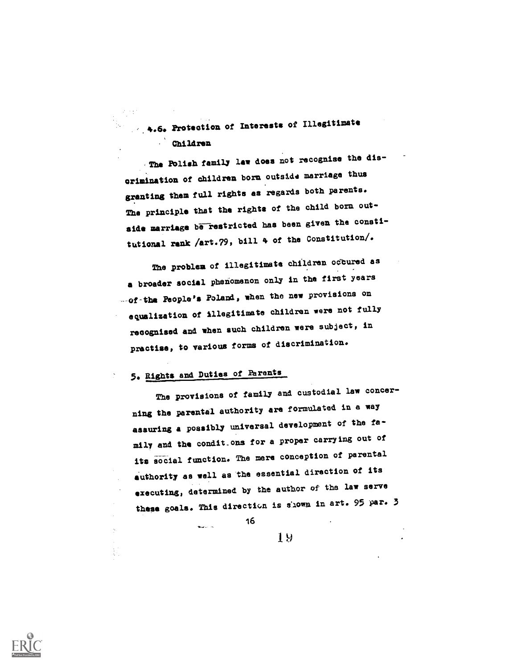.4.6. Protection of Interests of Illegitimate Children

.The POlish family law does not recognise the discrimination of children born outside marriage thus granting them full rights as regards both parents. The principle that the rights of the child born outside marriage be restricted has been given the constitutional rank /art.79, bill 4 of the Constitution/.

The problem of illegitimate children occured as a broader social phenomenon only in the first years --of-the People's Poland, when the new provisions on equalization of Illegitimate children were not fully recognised and when such children were subject, in practise, to various forms of discrimination.

# 5. Rights and Duties of Parents

للمستعدد

The provisions of family and custodial law concerning the parental authority are formulated in a way assuring a possibly universal development of the family and the condit\_ons for a proper carrying out of its social function. The mere conception of parental authority as well as the essential direction of its executing, determined by the author of the law serve these goals. This direction is shown in art. 95 par. 3

16

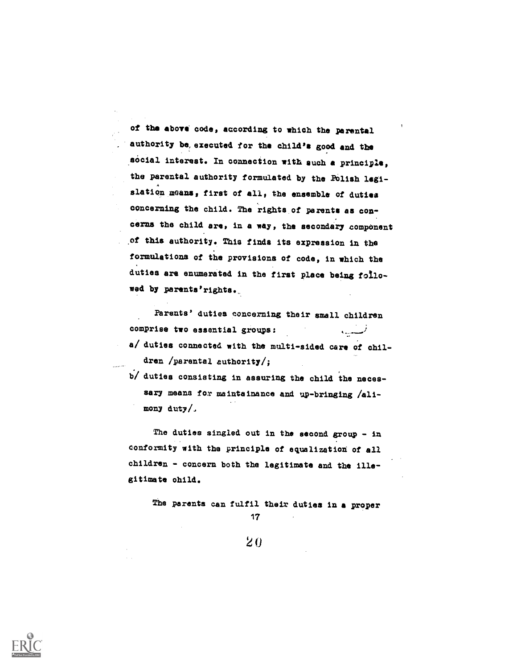of the above code, according to which the parental authority be, executed for the child's good and the social interest. In connection with such a principle, the parental authority formulated by the Folish legislation means, first of all, the ensemble of duties concerning the child. The rights of parents as concerns the child are, in a way, the secondary component \_of this authority. This finds its expression in the formulations of the provisions of code, in which the duties are enumerated in the first place being followed by parents'rights.

Parents' duties concerning their small children comprise two essential groups: بمسدف a/ duties connected with the multi-sided care of children /parental authority/;

b/ duties consisting in assuring the child the necessary means for maintainance and up-bringing /alimony duty/.

The duties singled out in the second group - in conformity with the principle of equalization of all children - concern both the legitimate and the illegitimate ohild.

The parenta aan fulfil their duties in a proper 17

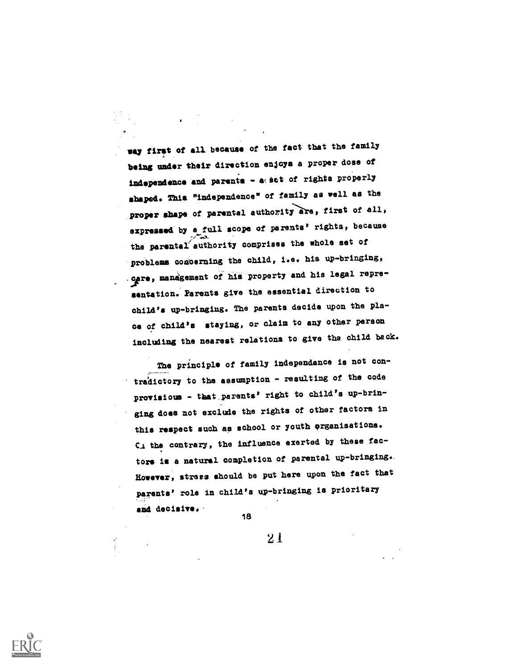way first of all because of the fact that the family being under their direction enjoys a proper dose of independence and parents - a set of rights properly shaped. This "independence" of family as well as the proper shape of parental authority are, first of all, expressed by a\_full scope of parents' rights, because the parental authority comprises the whole set of problems concerning the child, i.e. his up-bringing, ogre, management of his property and his legal representation. Parents give the essential direction to child's up-bringing. The parents decide upon the place of child's staying, or claim to any other person including the nearest relations to give the child back.

The principle of family independence is not contradictory to the assumption - resulting of the code provisious - tbat.parents' right to child's up-bringing does not exclude the rights of other factors in this respect such as school or youth organisations. C. the contrary, the influence exerted by these factors is a natural completion of parental up-bringing.. However, stress should be put here upon the fact that parents' role in child's up-bringing is prioritary and decisive.. 18

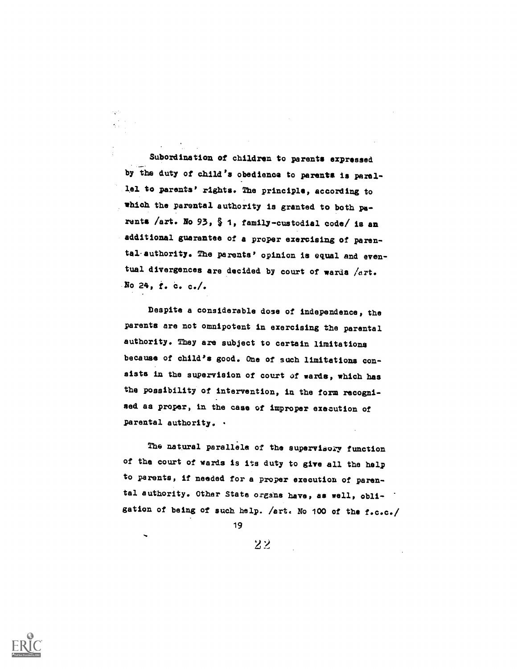Subordination of children to parents expressed by the duty of child's obedience to parents is parallel to parents' rights. The principle, according to which the parental authority is granted to both parents /art. No 93, § 1, family-custodial code/ is an additional guarantee of a proper exercising of parental-authority. The parents' opinion is equal and eventual divergences are decided by court of wards /art. No  $24$ ,  $t. c. c.$ 

Despite a considerable dose of independence, the parents are not omnipotent in exercising the parental authority. They are subject to certain limitationa because of child's good. One of such limitations con sists in the supervision of court of wards, which has the possibility of intervention, in the form recognised as proper, in the case of improper execution of parental authority. .

The natural parallele of the supervisory function of the court of wards is its duty to give all the help to parents, if needed for a proper execution of parental authority. Other State organs have, as well, obligation of being of such help. /art. No 100 of the f.c.c./

19

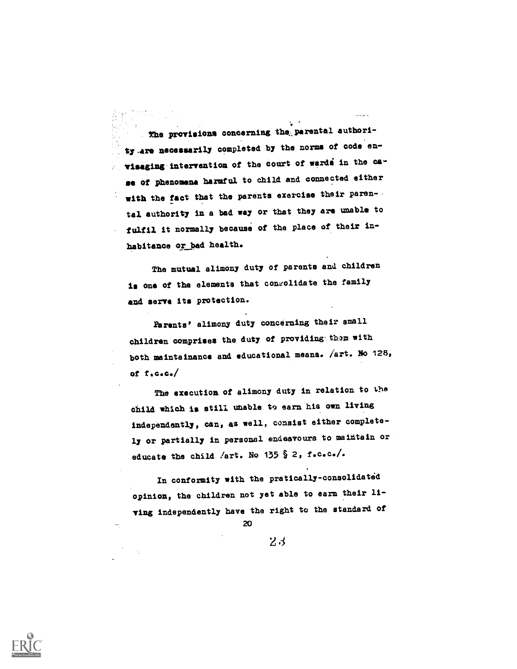. The provisions concerning the parental authority.are necessarily completed by the norms of code envisaging intervention of the court of wardi in the case of phenomena harmful to child and connected either with the fact that the parents exercise their parental authority in a bad way or that they are unable to fulfil it normally because of the place of their inhabitance or bad health.

The mutual alimony duty of parents and children is one of the elements that conrolidate the family and serve its protection.

Parents' alimony duty concerning their small children comprises the duty of providing them with both maintainance and educational means. /art. No 128, of f.c.c./

The execution of alimony duty in relation to the child which is still unable to earn his own living independently, can, as well, consist either completely or partially in personal endeavours to maintain or educate the child /art. No 135 § 2, f.c.c./.

In conformity with the pratically-consolidated opinion, the children not yet able to earn their living independently have the right to the standard of

20

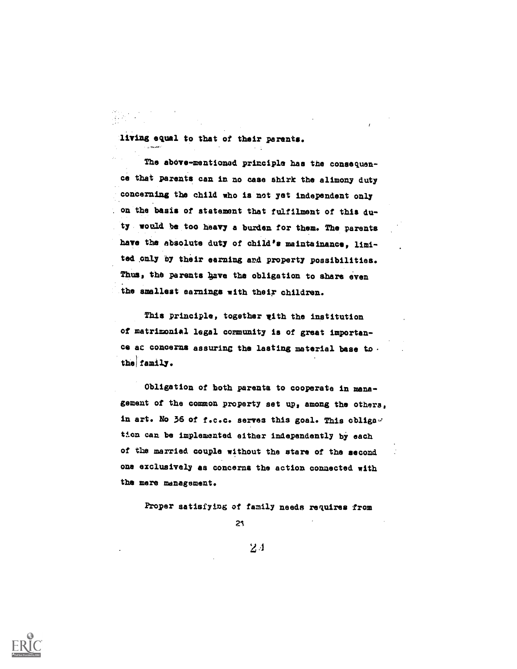living equal to that of their parents.

The above-mentioned principle has the consequence that parents can in no case shirk the alimony duty concerning the child who is not yet independent only on the basis of statement that fulfilment of this duty, would be too heavy a burden for them. The parents have the absolute duty of child's maintainance, limited only by their earning and property possibilities. Thus, the parents have the obligation to share even the smallest earnings with their children.

This principle, together with the institution of matrimonial legal community is of great importance ac concerns assuring the lasting material base to. the family.

Obligation of both parents to cooperate in management of the common property set up, among the others, in art. No 36 of f.c.c. serves this goal. This obliga tion can be implemented either independently by each of the married couple without the stare of the second one exclusively as concerns the action connected with the mere management.

Proper satisfying of family needs requires from

21

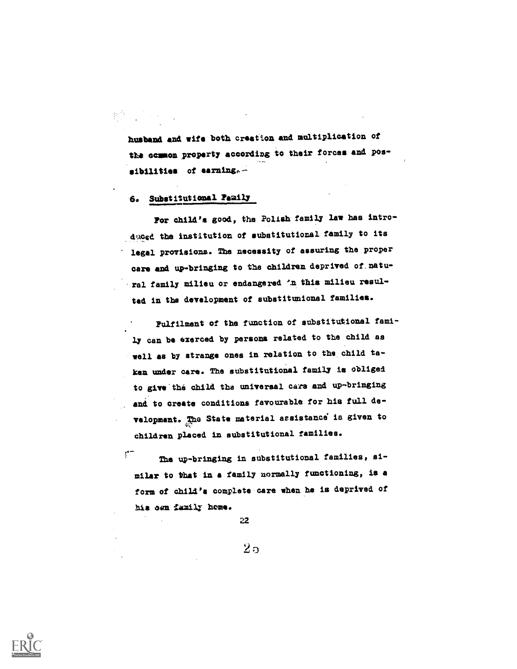husband and wife both creation and multiplication of the common property according to their forces and possibilities of earning.-

#### 6. Substitutional Family

For child's good, the Polith family law has introduced the institution of substitutional family to its legal provisions. The necessity of assuring the proper care and up-bringing to the children deprived of natu-. ral family milieu or endangered 'n this milieu resulted in the development of substitunional families.

Fulfilment of the function of substitutional fami- .<br>ly can be exerced by persons related to the child as well as by strange ones in relation to the child taken under ears. The substitutional family is obliged to give the child the universal cars and up-bringing and to create conditions favourable for his full development. The State material assistance is given to children placed in substitutional families.

 $\mathfrak{f}^{\bullet-}$ The up-bringing in substitutional families, similar to that in a family normally functioning, is a form of chill'a complete care when he is deprived of his own tamilr home.

22

 $2\,\mathrm{s}$ 

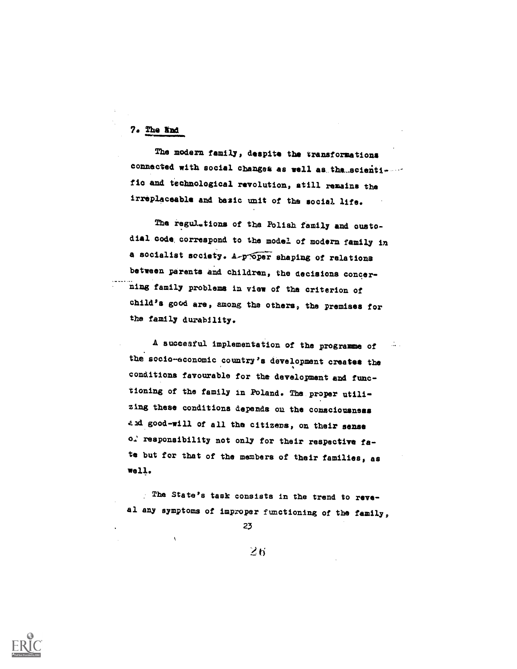### 7. The lind

The modern family, despite the transformations connected with social changes as well as the scientifie and technological revolution, still remains the irreplaceable and basic unit of the social life.

The regulations of the Polish family and custodial code; correspond to the model of modern family in a socialist society. A proper shaping of relations between parents and children, the decisions concerning family problems in view of tha criterion of child's good are, among the others, the premises for the family durability.

A succesful implementation of the programme of the socio-economic country's development creates the conditions favourable for the development and functioning of the family in Poland. The proper utilizing these conditions depends ou the consciousness and good-will of all the citizens, on their sense o: responsibility not only for their respective fate but for that of the members of their families, as well.

Ths State's task consists in the trend to reveal any symptoms of improper functioning of the family,

23

 $2n$